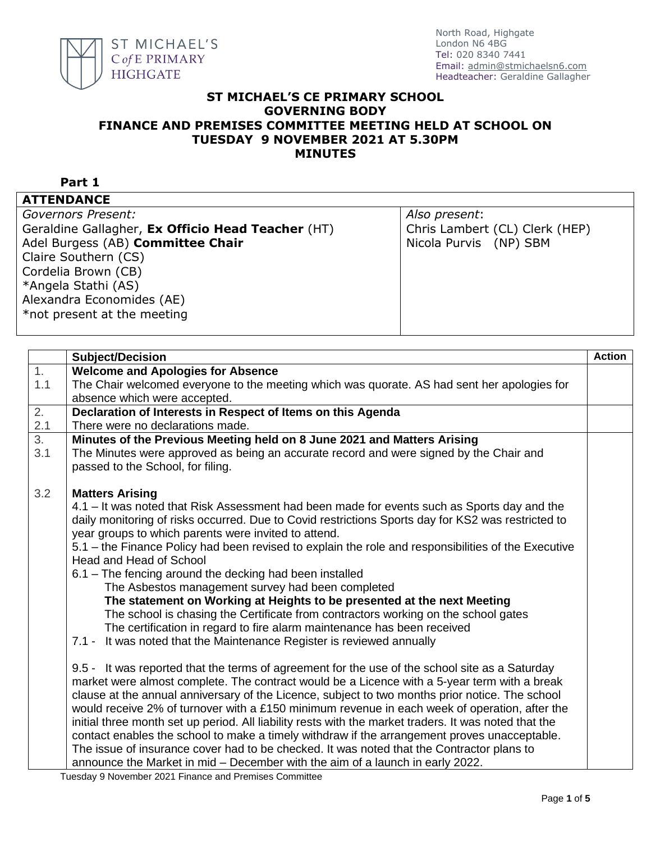

## **ST MICHAEL'S CE PRIMARY SCHOOL GOVERNING BODY FINANCE AND PREMISES COMMITTEE MEETING HELD AT SCHOOL ON TUESDAY 9 NOVEMBER 2021 AT 5.30PM MINUTES**

## **Part 1**

**ATTENDANCE**

# *Governors Present:* Geraldine Gallagher, **Ex Officio Head Teacher** (HT) Adel Burgess (AB) **Committee Chair**

Claire Southern (CS) Cordelia Brown (CB) \*Angela Stathi (AS) Alexandra Economides (AE) \*not present at the meeting *Also present*: Chris Lambert (CL) Clerk (HEP) Nicola Purvis (NP) SBM

|                  | <b>Subject/Decision</b>                                                                                                     | <b>Action</b> |
|------------------|-----------------------------------------------------------------------------------------------------------------------------|---------------|
| 1.               | <b>Welcome and Apologies for Absence</b>                                                                                    |               |
| 1.1              | The Chair welcomed everyone to the meeting which was quorate. AS had sent her apologies for                                 |               |
|                  | absence which were accepted.                                                                                                |               |
| 2.               | Declaration of Interests in Respect of Items on this Agenda                                                                 |               |
| 2.1              | There were no declarations made.                                                                                            |               |
| $\overline{3}$ . | Minutes of the Previous Meeting held on 8 June 2021 and Matters Arising                                                     |               |
| 3.1              | The Minutes were approved as being an accurate record and were signed by the Chair and<br>passed to the School, for filing. |               |
| 3.2              | <b>Matters Arising</b>                                                                                                      |               |
|                  | 4.1 – It was noted that Risk Assessment had been made for events such as Sports day and the                                 |               |
|                  | daily monitoring of risks occurred. Due to Covid restrictions Sports day for KS2 was restricted to                          |               |
|                  | year groups to which parents were invited to attend.                                                                        |               |
|                  | 5.1 - the Finance Policy had been revised to explain the role and responsibilities of the Executive                         |               |
|                  | Head and Head of School                                                                                                     |               |
|                  | 6.1 - The fencing around the decking had been installed                                                                     |               |
|                  | The Asbestos management survey had been completed                                                                           |               |
|                  | The statement on Working at Heights to be presented at the next Meeting                                                     |               |
|                  | The school is chasing the Certificate from contractors working on the school gates                                          |               |
|                  | The certification in regard to fire alarm maintenance has been received                                                     |               |
|                  | 7.1 - It was noted that the Maintenance Register is reviewed annually                                                       |               |
|                  | 9.5 - It was reported that the terms of agreement for the use of the school site as a Saturday                              |               |
|                  | market were almost complete. The contract would be a Licence with a 5-year term with a break                                |               |
|                  | clause at the annual anniversary of the Licence, subject to two months prior notice. The school                             |               |
|                  | would receive 2% of turnover with a £150 minimum revenue in each week of operation, after the                               |               |
|                  | initial three month set up period. All liability rests with the market traders. It was noted that the                       |               |
|                  | contact enables the school to make a timely withdraw if the arrangement proves unacceptable.                                |               |
|                  | The issue of insurance cover had to be checked. It was noted that the Contractor plans to                                   |               |
|                  | announce the Market in mid - December with the aim of a launch in early 2022.                                               |               |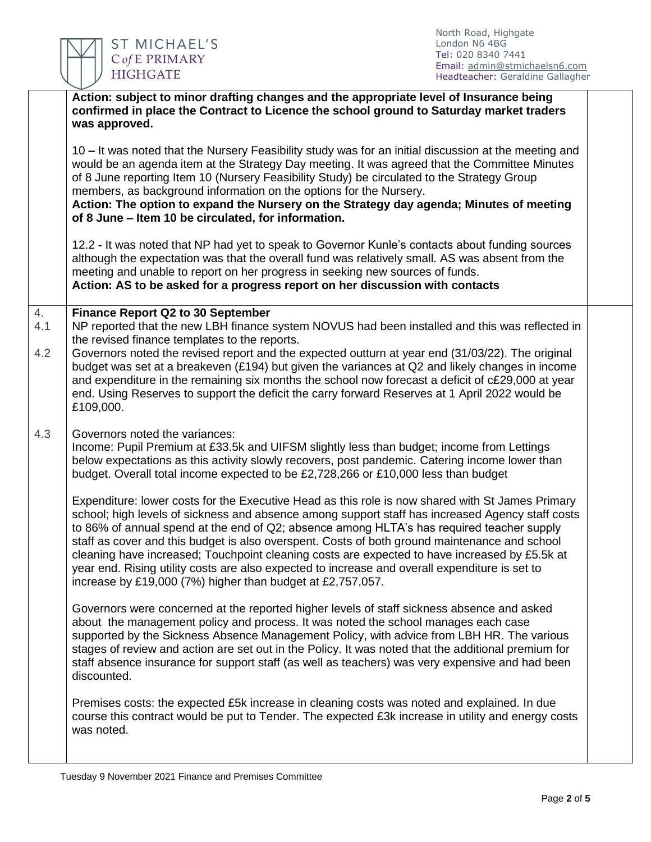

|           | Action: subject to minor drafting changes and the appropriate level of Insurance being<br>confirmed in place the Contract to Licence the school ground to Saturday market traders<br>was approved.                                                                                                                                                                                                                                                                                                                                                                                                                                                                  |  |
|-----------|---------------------------------------------------------------------------------------------------------------------------------------------------------------------------------------------------------------------------------------------------------------------------------------------------------------------------------------------------------------------------------------------------------------------------------------------------------------------------------------------------------------------------------------------------------------------------------------------------------------------------------------------------------------------|--|
|           | 10 – It was noted that the Nursery Feasibility study was for an initial discussion at the meeting and<br>would be an agenda item at the Strategy Day meeting. It was agreed that the Committee Minutes<br>of 8 June reporting Item 10 (Nursery Feasibility Study) be circulated to the Strategy Group<br>members, as background information on the options for the Nursery.<br>Action: The option to expand the Nursery on the Strategy day agenda; Minutes of meeting<br>of 8 June - Item 10 be circulated, for information.                                                                                                                                       |  |
|           | 12.2 - It was noted that NP had yet to speak to Governor Kunle's contacts about funding sources<br>although the expectation was that the overall fund was relatively small. AS was absent from the<br>meeting and unable to report on her progress in seeking new sources of funds.<br>Action: AS to be asked for a progress report on her discussion with contacts                                                                                                                                                                                                                                                                                                 |  |
| 4.<br>4.1 | <b>Finance Report Q2 to 30 September</b><br>NP reported that the new LBH finance system NOVUS had been installed and this was reflected in<br>the revised finance templates to the reports.                                                                                                                                                                                                                                                                                                                                                                                                                                                                         |  |
| 4.2       | Governors noted the revised report and the expected outturn at year end (31/03/22). The original<br>budget was set at a breakeven (£194) but given the variances at Q2 and likely changes in income<br>and expenditure in the remaining six months the school now forecast a deficit of c£29,000 at year<br>end. Using Reserves to support the deficit the carry forward Reserves at 1 April 2022 would be<br>£109,000.                                                                                                                                                                                                                                             |  |
| 4.3       | Governors noted the variances:<br>Income: Pupil Premium at £33.5k and UIFSM slightly less than budget; income from Lettings<br>below expectations as this activity slowly recovers, post pandemic. Catering income lower than<br>budget. Overall total income expected to be £2,728,266 or £10,000 less than budget                                                                                                                                                                                                                                                                                                                                                 |  |
|           | Expenditure: lower costs for the Executive Head as this role is now shared with St James Primary<br>school; high levels of sickness and absence among support staff has increased Agency staff costs<br>to 86% of annual spend at the end of Q2; absence among HLTA's has required teacher supply<br>staff as cover and this budget is also overspent. Costs of both ground maintenance and school<br>cleaning have increased; Touchpoint cleaning costs are expected to have increased by £5.5k at<br>year end. Rising utility costs are also expected to increase and overall expenditure is set to<br>increase by £19,000 (7%) higher than budget at £2,757,057. |  |
|           | Governors were concerned at the reported higher levels of staff sickness absence and asked<br>about the management policy and process. It was noted the school manages each case<br>supported by the Sickness Absence Management Policy, with advice from LBH HR. The various<br>stages of review and action are set out in the Policy. It was noted that the additional premium for<br>staff absence insurance for support staff (as well as teachers) was very expensive and had been<br>discounted.                                                                                                                                                              |  |
|           | Premises costs: the expected £5k increase in cleaning costs was noted and explained. In due<br>course this contract would be put to Tender. The expected £3k increase in utility and energy costs<br>was noted.                                                                                                                                                                                                                                                                                                                                                                                                                                                     |  |
|           |                                                                                                                                                                                                                                                                                                                                                                                                                                                                                                                                                                                                                                                                     |  |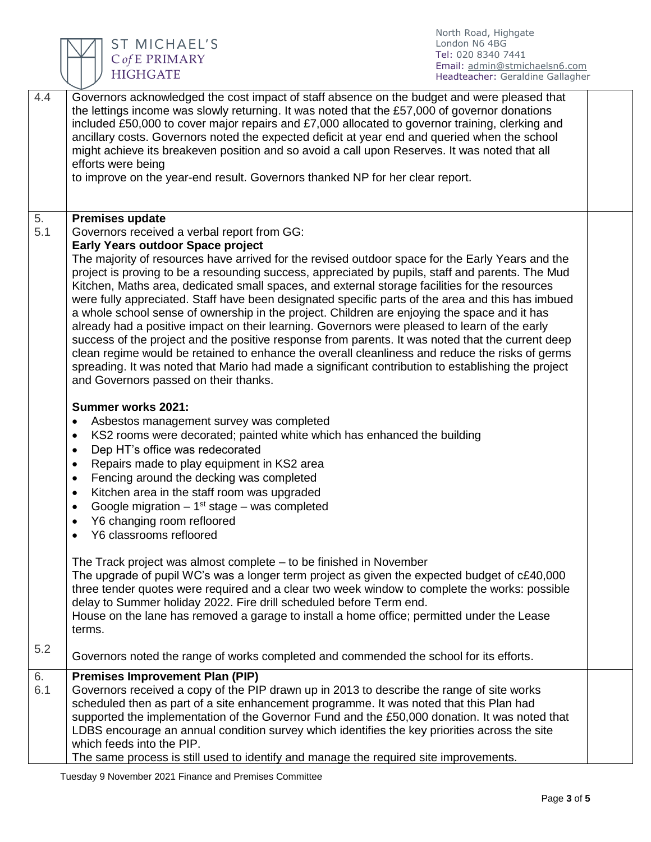

ST MICHAEL'S<br>CofE PRIMARY<br>HIGHGATE

North Road, Highgate London N6 4BG Tel: 020 8340 7441 Email: [admin@stmichaelsn6.com](mailto:admin@stmichaelsn6.com) Headteacher: Geraldine Gallagher

| 4.4       | Governors acknowledged the cost impact of staff absence on the budget and were pleased that<br>the lettings income was slowly returning. It was noted that the £57,000 of governor donations<br>included £50,000 to cover major repairs and £7,000 allocated to governor training, clerking and<br>ancillary costs. Governors noted the expected deficit at year end and queried when the school<br>might achieve its breakeven position and so avoid a call upon Reserves. It was noted that all                                                                                                                                                                                                                                                                                                                                                                                                                                                                   |  |
|-----------|---------------------------------------------------------------------------------------------------------------------------------------------------------------------------------------------------------------------------------------------------------------------------------------------------------------------------------------------------------------------------------------------------------------------------------------------------------------------------------------------------------------------------------------------------------------------------------------------------------------------------------------------------------------------------------------------------------------------------------------------------------------------------------------------------------------------------------------------------------------------------------------------------------------------------------------------------------------------|--|
|           | efforts were being<br>to improve on the year-end result. Governors thanked NP for her clear report.                                                                                                                                                                                                                                                                                                                                                                                                                                                                                                                                                                                                                                                                                                                                                                                                                                                                 |  |
| 5.<br>5.1 | <b>Premises update</b><br>Governors received a verbal report from GG:<br><b>Early Years outdoor Space project</b>                                                                                                                                                                                                                                                                                                                                                                                                                                                                                                                                                                                                                                                                                                                                                                                                                                                   |  |
|           | The majority of resources have arrived for the revised outdoor space for the Early Years and the<br>project is proving to be a resounding success, appreciated by pupils, staff and parents. The Mud<br>Kitchen, Maths area, dedicated small spaces, and external storage facilities for the resources<br>were fully appreciated. Staff have been designated specific parts of the area and this has imbued<br>a whole school sense of ownership in the project. Children are enjoying the space and it has<br>already had a positive impact on their learning. Governors were pleased to learn of the early<br>success of the project and the positive response from parents. It was noted that the current deep<br>clean regime would be retained to enhance the overall cleanliness and reduce the risks of germs<br>spreading. It was noted that Mario had made a significant contribution to establishing the project<br>and Governors passed on their thanks. |  |
|           | <b>Summer works 2021:</b><br>Asbestos management survey was completed<br>$\bullet$<br>KS2 rooms were decorated; painted white which has enhanced the building<br>$\bullet$<br>Dep HT's office was redecorated<br>$\bullet$<br>Repairs made to play equipment in KS2 area<br>$\bullet$<br>Fencing around the decking was completed<br>$\bullet$<br>Kitchen area in the staff room was upgraded<br>$\bullet$<br>Google migration $-1st$ stage $-$ was completed<br>$\bullet$<br>Y6 changing room refloored<br>$\bullet$<br>Y6 classrooms refloored<br>$\bullet$                                                                                                                                                                                                                                                                                                                                                                                                       |  |
|           | The Track project was almost complete – to be finished in November<br>The upgrade of pupil WC's was a longer term project as given the expected budget of c£40,000<br>three tender quotes were required and a clear two week window to complete the works: possible<br>delay to Summer holiday 2022. Fire drill scheduled before Term end.<br>House on the lane has removed a garage to install a home office; permitted under the Lease<br>terms.                                                                                                                                                                                                                                                                                                                                                                                                                                                                                                                  |  |
| 5.2       | Governors noted the range of works completed and commended the school for its efforts.                                                                                                                                                                                                                                                                                                                                                                                                                                                                                                                                                                                                                                                                                                                                                                                                                                                                              |  |
| 6.<br>6.1 | <b>Premises Improvement Plan (PIP)</b><br>Governors received a copy of the PIP drawn up in 2013 to describe the range of site works<br>scheduled then as part of a site enhancement programme. It was noted that this Plan had<br>supported the implementation of the Governor Fund and the £50,000 donation. It was noted that<br>LDBS encourage an annual condition survey which identifies the key priorities across the site<br>which feeds into the PIP.<br>The same process is still used to identify and manage the required site improvements.                                                                                                                                                                                                                                                                                                                                                                                                              |  |

Tuesday 9 November 2021 Finance and Premises Committee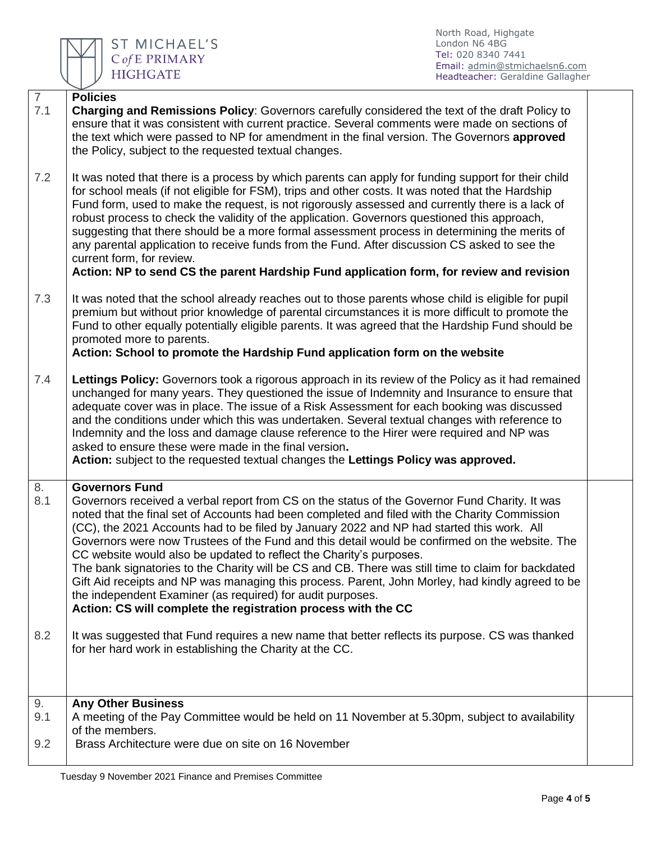

North Road, Highgate London N6 4BG Tel: 020 8340 7441 Email: [admin@stmichaelsn6.com](mailto:admin@stmichaelsn6.com) Headteacher: Geraldine Gallagher

| $\overline{7}$   | <b>Policies</b>                                                                                                                                                                                                                                                                                                                                                                                                                                                                                                                                                                                                                                                                                                                                                                                                                        |  |
|------------------|----------------------------------------------------------------------------------------------------------------------------------------------------------------------------------------------------------------------------------------------------------------------------------------------------------------------------------------------------------------------------------------------------------------------------------------------------------------------------------------------------------------------------------------------------------------------------------------------------------------------------------------------------------------------------------------------------------------------------------------------------------------------------------------------------------------------------------------|--|
| 7.1              | Charging and Remissions Policy: Governors carefully considered the text of the draft Policy to<br>ensure that it was consistent with current practice. Several comments were made on sections of<br>the text which were passed to NP for amendment in the final version. The Governors approved<br>the Policy, subject to the requested textual changes.                                                                                                                                                                                                                                                                                                                                                                                                                                                                               |  |
| 7.2              | It was noted that there is a process by which parents can apply for funding support for their child<br>for school meals (if not eligible for FSM), trips and other costs. It was noted that the Hardship<br>Fund form, used to make the request, is not rigorously assessed and currently there is a lack of<br>robust process to check the validity of the application. Governors questioned this approach,<br>suggesting that there should be a more formal assessment process in determining the merits of<br>any parental application to receive funds from the Fund. After discussion CS asked to see the<br>current form, for review.<br>Action: NP to send CS the parent Hardship Fund application form, for review and revision                                                                                                |  |
| 7.3              | It was noted that the school already reaches out to those parents whose child is eligible for pupil<br>premium but without prior knowledge of parental circumstances it is more difficult to promote the<br>Fund to other equally potentially eligible parents. It was agreed that the Hardship Fund should be<br>promoted more to parents.<br>Action: School to promote the Hardship Fund application form on the website                                                                                                                                                                                                                                                                                                                                                                                                             |  |
| 7.4              | Lettings Policy: Governors took a rigorous approach in its review of the Policy as it had remained<br>unchanged for many years. They questioned the issue of Indemnity and Insurance to ensure that<br>adequate cover was in place. The issue of a Risk Assessment for each booking was discussed<br>and the conditions under which this was undertaken. Several textual changes with reference to<br>Indemnity and the loss and damage clause reference to the Hirer were required and NP was<br>asked to ensure these were made in the final version.<br>Action: subject to the requested textual changes the Lettings Policy was approved.                                                                                                                                                                                          |  |
| 8.<br>8.1        | <b>Governors Fund</b><br>Governors received a verbal report from CS on the status of the Governor Fund Charity. It was<br>noted that the final set of Accounts had been completed and filed with the Charity Commission<br>(CC), the 2021 Accounts had to be filed by January 2022 and NP had started this work. All<br>Governors were now Trustees of the Fund and this detail would be confirmed on the website. The<br>CC website would also be updated to reflect the Charity's purposes.<br>The bank signatories to the Charity will be CS and CB. There was still time to claim for backdated<br>Gift Aid receipts and NP was managing this process. Parent, John Morley, had kindly agreed to be<br>the independent Examiner (as required) for audit purposes.<br>Action: CS will complete the registration process with the CC |  |
| 8.2              | It was suggested that Fund requires a new name that better reflects its purpose. CS was thanked<br>for her hard work in establishing the Charity at the CC.                                                                                                                                                                                                                                                                                                                                                                                                                                                                                                                                                                                                                                                                            |  |
| 9.<br>9.1<br>9.2 | <b>Any Other Business</b><br>A meeting of the Pay Committee would be held on 11 November at 5.30pm, subject to availability<br>of the members.<br>Brass Architecture were due on site on 16 November                                                                                                                                                                                                                                                                                                                                                                                                                                                                                                                                                                                                                                   |  |
|                  |                                                                                                                                                                                                                                                                                                                                                                                                                                                                                                                                                                                                                                                                                                                                                                                                                                        |  |